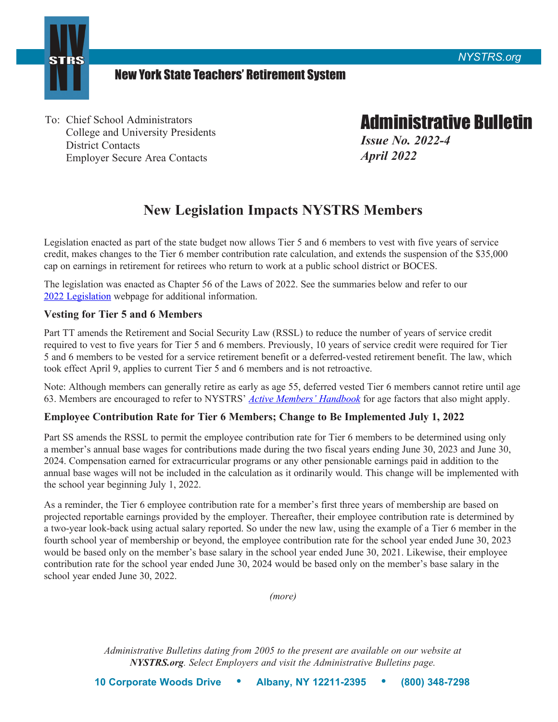



## New York State Teachers' Retirement System

To: Chief School Administrators<br>
College and University Presidents<br>
District Contacts<br>
Employer Secure Area Contacts<br> *April 2022* **Employer Secure Area Contacts** 

# **New Legislation Impacts NYSTRS Members**

Legislation enacted as part of the state budget now allows Tier 5 and 6 members to vest with five years of service credit, makes changes to the Tier 6 member contribution rate calculation, and extends the suspension of the \$35,000 cap on earnings in retirement for retirees who return to work at a public school district or BOCES.

The legislation was enacted as Chapter 56 of the Laws of 2022. See the summaries below and refer to our [2022 Legislation](https://www.nystrs.org/Legislation/2022-Legislation) webpage for additional information.

#### **Vesting for Tier 5 and 6 Members**

Part TT amends the Retirement and Social Security Law (RSSL) to reduce the number of years of service credit required to vest to five years for Tier 5 and 6 members. Previously, 10 years of service credit were required for Tier 5 and 6 members to be vested for a service retirement benefit or a deferred-vested retirement benefit. The law, which took effect April 9, applies to current Tier 5 and 6 members and is not retroactive.

Note: Although members can generally retire as early as age 55, deferred vested Tier 6 members cannot retire until age 63. Members are encouraged to refer to NYSTRS' *[Active Members' Handbook](https://www.nystrs.org/NYSTRS/media/PDF/Library/Publications/Active%20Members/handbook.pdf)* for age factors that also might apply.

### **Employee Contribution Rate for Tier 6 Members; Change to Be Implemented July 1, 2022**

Part SS amends the RSSL to permit the employee contribution rate for Tier 6 members to be determined using only a member's annual base wages for contributions made during the two fiscal years ending June 30, 2023 and June 30, 2024. Compensation earned for extracurricular programs or any other pensionable earnings paid in addition to the annual base wages will not be included in the calculation as it ordinarily would. This change will be implemented with the school year beginning July 1, 2022.

As a reminder, the Tier 6 employee contribution rate for a member's first three years of membership are based on projected reportable earnings provided by the employer. Thereafter, their employee contribution rate is determined by a two-year look-back using actual salary reported. So under the new law, using the example of a Tier 6 member in the fourth school year of membership or beyond, the employee contribution rate for the school year ended June 30, 2023 would be based only on the member's base salary in the school year ended June 30, 2021. Likewise, their employee contribution rate for the school year ended June 30, 2024 would be based only on the member's base salary in the school year ended June 30, 2022.

*(more)* 

*Administrative Bulletins dating from 2005 to the present are available on our website at [NYSTRS.org](https://NYSTRS.org). Select Employers and visit the Administrative Bulletins page.*